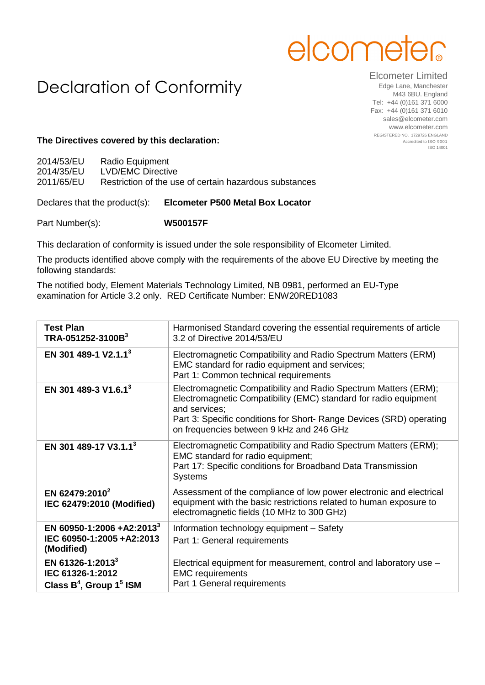# elcome

# Declaration of Conformity

## Elcometer Limited

Edge Lane, Manchester M43 6BU. England Tel: +44 (0)161 371 6000 Fax: +44 (0)161 371 6010 sales@elcometer.com www.elcometer.com REGISTERED NO. 1729726 ENGLAND Accredited to ISO 9001 ISO 14001

### **The Directives covered by this declaration:**

| 2014/53/EU | Radio Equipment                                        |
|------------|--------------------------------------------------------|
| 2014/35/EU | LVD/EMC Directive                                      |
| 2011/65/EU | Restriction of the use of certain hazardous substances |

#### Declares that the product(s): **Elcometer P500 Metal Box Locator**

Part Number(s): **W500157F**

This declaration of conformity is issued under the sole responsibility of Elcometer Limited.

The products identified above comply with the requirements of the above EU Directive by meeting the following standards:

The notified body, Element Materials Technology Limited, NB 0981, performed an EU-Type examination for Article 3.2 only. RED Certificate Number: ENW20RED1083

| <b>Test Plan</b><br>TRA-051252-3100B <sup>3</sup>                                 | Harmonised Standard covering the essential requirements of article<br>3.2 of Directive 2014/53/EU                                                                                                                                                                        |
|-----------------------------------------------------------------------------------|--------------------------------------------------------------------------------------------------------------------------------------------------------------------------------------------------------------------------------------------------------------------------|
| EN 301 489-1 V2.1.1 <sup>3</sup>                                                  | Electromagnetic Compatibility and Radio Spectrum Matters (ERM)<br>EMC standard for radio equipment and services;<br>Part 1: Common technical requirements                                                                                                                |
| EN 301 489-3 V1.6.1 <sup>3</sup>                                                  | Electromagnetic Compatibility and Radio Spectrum Matters (ERM);<br>Electromagnetic Compatibility (EMC) standard for radio equipment<br>and services;<br>Part 3: Specific conditions for Short- Range Devices (SRD) operating<br>on frequencies between 9 kHz and 246 GHz |
| EN 301 489-17 V3.1.1 <sup>3</sup>                                                 | Electromagnetic Compatibility and Radio Spectrum Matters (ERM);<br>EMC standard for radio equipment;<br>Part 17: Specific conditions for Broadband Data Transmission<br><b>Systems</b>                                                                                   |
| EN 62479:2010 <sup>2</sup><br>IEC 62479:2010 (Modified)                           | Assessment of the compliance of low power electronic and electrical<br>equipment with the basic restrictions related to human exposure to<br>electromagnetic fields (10 MHz to 300 GHz)                                                                                  |
| EN 60950-1:2006 +A2:2013 <sup>3</sup><br>IEC 60950-1:2005 +A2:2013<br>(Modified)  | Information technology equipment - Safety<br>Part 1: General requirements                                                                                                                                                                                                |
| EN 61326-1:2013 <sup>3</sup><br>IEC 61326-1:2012<br>Class $B^4$ , Group $1^5$ ISM | Electrical equipment for measurement, control and laboratory use -<br><b>EMC</b> requirements<br>Part 1 General requirements                                                                                                                                             |